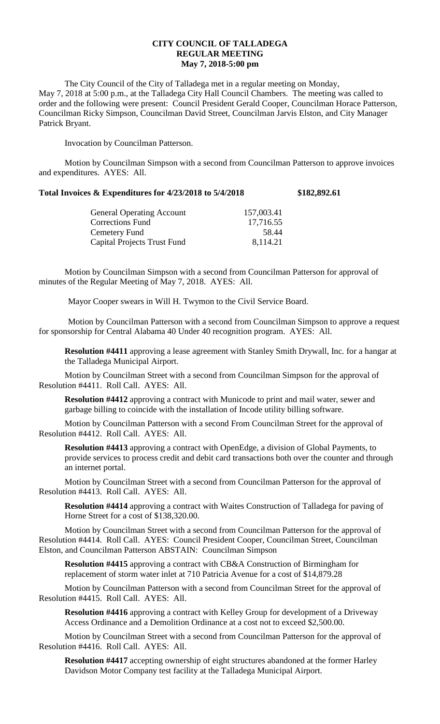## **CITY COUNCIL OF TALLADEGA REGULAR MEETING May 7, 2018-5:00 pm**

The City Council of the City of Talladega met in a regular meeting on Monday, May 7, 2018 at 5:00 p.m., at the Talladega City Hall Council Chambers. The meeting was called to order and the following were present: Council President Gerald Cooper, Councilman Horace Patterson, Councilman Ricky Simpson, Councilman David Street, Councilman Jarvis Elston, and City Manager Patrick Bryant.

Invocation by Councilman Patterson.

Motion by Councilman Simpson with a second from Councilman Patterson to approve invoices and expenditures. AYES: All.

## **Total Invoices & Expenditures for 4/23/2018 to 5/4/2018 \$182,892.61**

| <b>General Operating Account</b> | 157,003.41 |
|----------------------------------|------------|
| <b>Corrections Fund</b>          | 17,716.55  |
| Cemetery Fund                    | 58.44      |
| Capital Projects Trust Fund      | 8,114.21   |
|                                  |            |

Motion by Councilman Simpson with a second from Councilman Patterson for approval of minutes of the Regular Meeting of May 7, 2018. AYES: All.

Mayor Cooper swears in Will H. Twymon to the Civil Service Board.

Motion by Councilman Patterson with a second from Councilman Simpson to approve a request for sponsorship for Central Alabama 40 Under 40 recognition program. AYES: All.

**Resolution #4411** approving a lease agreement with Stanley Smith Drywall, Inc. for a hangar at the Talladega Municipal Airport.

Motion by Councilman Street with a second from Councilman Simpson for the approval of Resolution #4411. Roll Call. AYES: All.

**Resolution #4412** approving a contract with Municode to print and mail water, sewer and garbage billing to coincide with the installation of Incode utility billing software.

Motion by Councilman Patterson with a second From Councilman Street for the approval of Resolution #4412. Roll Call. AYES: All.

**Resolution #4413** approving a contract with OpenEdge, a division of Global Payments, to provide services to process credit and debit card transactions both over the counter and through an internet portal.

Motion by Councilman Street with a second from Councilman Patterson for the approval of Resolution #4413. Roll Call. AYES: All.

**Resolution #4414** approving a contract with Waites Construction of Talladega for paving of Horne Street for a cost of \$138,320.00.

Motion by Councilman Street with a second from Councilman Patterson for the approval of Resolution #4414. Roll Call. AYES: Council President Cooper, Councilman Street, Councilman Elston, and Councilman Patterson ABSTAIN: Councilman Simpson

**Resolution #4415** approving a contract with CB&A Construction of Birmingham for replacement of storm water inlet at 710 Patricia Avenue for a cost of \$14,879.28

Motion by Councilman Patterson with a second from Councilman Street for the approval of Resolution #4415. Roll Call. AYES: All.

**Resolution #4416** approving a contract with Kelley Group for development of a Driveway Access Ordinance and a Demolition Ordinance at a cost not to exceed \$2,500.00.

Motion by Councilman Street with a second from Councilman Patterson for the approval of Resolution #4416. Roll Call. AYES: All.

**Resolution #4417** accepting ownership of eight structures abandoned at the former Harley Davidson Motor Company test facility at the Talladega Municipal Airport.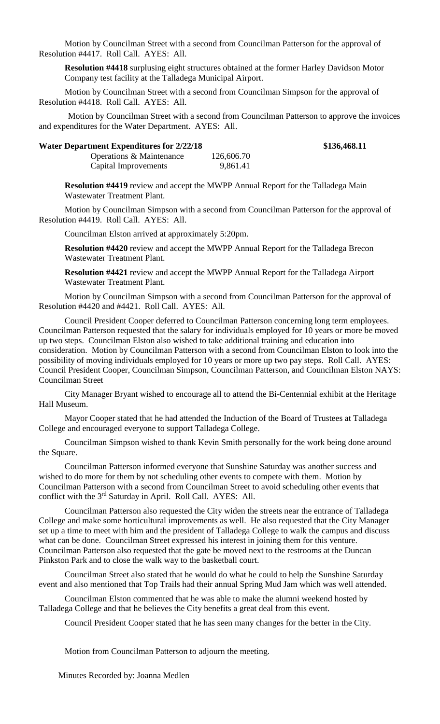Motion by Councilman Street with a second from Councilman Patterson for the approval of Resolution #4417. Roll Call. AYES: All.

**Resolution #4418** surplusing eight structures obtained at the former Harley Davidson Motor Company test facility at the Talladega Municipal Airport.

Motion by Councilman Street with a second from Councilman Simpson for the approval of Resolution #4418. Roll Call. AYES: All.

Motion by Councilman Street with a second from Councilman Patterson to approve the invoices and expenditures for the Water Department. AYES: All.

| <b>Water Department Expenditures for 2/22/18</b> |            | \$136,468.11 |
|--------------------------------------------------|------------|--------------|
| Operations & Maintenance                         | 126,606.70 |              |
| Capital Improvements                             | 9,861.41   |              |
|                                                  |            |              |

**Resolution #4419** review and accept the MWPP Annual Report for the Talladega Main Wastewater Treatment Plant.

Motion by Councilman Simpson with a second from Councilman Patterson for the approval of Resolution #4419. Roll Call. AYES: All.

Councilman Elston arrived at approximately 5:20pm.

**Resolution #4420** review and accept the MWPP Annual Report for the Talladega Brecon Wastewater Treatment Plant.

**Resolution #4421** review and accept the MWPP Annual Report for the Talladega Airport Wastewater Treatment Plant.

Motion by Councilman Simpson with a second from Councilman Patterson for the approval of Resolution #4420 and #4421. Roll Call. AYES: All.

Council President Cooper deferred to Councilman Patterson concerning long term employees. Councilman Patterson requested that the salary for individuals employed for 10 years or more be moved up two steps. Councilman Elston also wished to take additional training and education into consideration. Motion by Councilman Patterson with a second from Councilman Elston to look into the possibility of moving individuals employed for 10 years or more up two pay steps. Roll Call. AYES: Council President Cooper, Councilman Simpson, Councilman Patterson, and Councilman Elston NAYS: Councilman Street

City Manager Bryant wished to encourage all to attend the Bi-Centennial exhibit at the Heritage Hall Museum.

Mayor Cooper stated that he had attended the Induction of the Board of Trustees at Talladega College and encouraged everyone to support Talladega College.

Councilman Simpson wished to thank Kevin Smith personally for the work being done around the Square.

Councilman Patterson informed everyone that Sunshine Saturday was another success and wished to do more for them by not scheduling other events to compete with them. Motion by Councilman Patterson with a second from Councilman Street to avoid scheduling other events that conflict with the 3rd Saturday in April. Roll Call. AYES: All.

Councilman Patterson also requested the City widen the streets near the entrance of Talladega College and make some horticultural improvements as well. He also requested that the City Manager set up a time to meet with him and the president of Talladega College to walk the campus and discuss what can be done. Councilman Street expressed his interest in joining them for this venture. Councilman Patterson also requested that the gate be moved next to the restrooms at the Duncan Pinkston Park and to close the walk way to the basketball court.

Councilman Street also stated that he would do what he could to help the Sunshine Saturday event and also mentioned that Top Trails had their annual Spring Mud Jam which was well attended.

Councilman Elston commented that he was able to make the alumni weekend hosted by Talladega College and that he believes the City benefits a great deal from this event.

Council President Cooper stated that he has seen many changes for the better in the City.

Motion from Councilman Patterson to adjourn the meeting.

Minutes Recorded by: Joanna Medlen